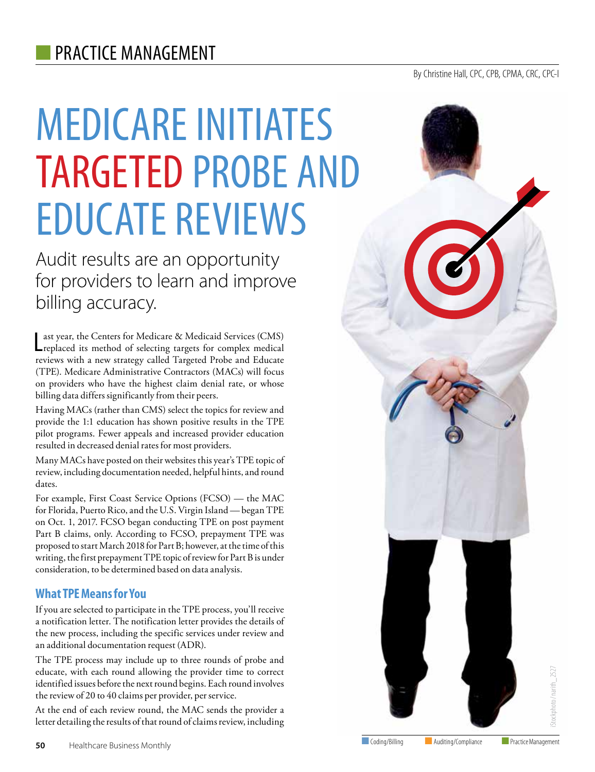# MEDICARE INITIATES TARGETED PROBE AND EDUCATE REVIEWS

Audit results are an opportunity for providers to learn and improve billing accuracy.

Last year, the Centers for Medicare & Medicaid Services (CMS)<br>Leplaced its method of selecting targets for complex medical ast year, the Centers for Medicare & Medicaid Services (CMS) reviews with a new strategy called Targeted Probe and Educate (TPE). Medicare Administrative Contractors (MACs) will focus on providers who have the highest claim denial rate, or whose billing data differs significantly from their peers.

Having MACs (rather than CMS) select the topics for review and provide the 1:1 education has shown positive results in the TPE pilot programs. Fewer appeals and increased provider education resulted in decreased denial rates for most providers.

Many MACs have posted on their websites this year's TPE topic of review, including documentation needed, helpful hints, and round dates.

For example, First Coast Service Options (FCSO) — the MAC for Florida, Puerto Rico, and the U.S. Virgin Island — began TPE on Oct. 1, 2017. FCSO began conducting TPE on post payment Part B claims, only. According to FCSO, prepayment TPE was proposed to start March 2018 for Part B; however, at the time of this writing, the first prepayment TPE topic of review for Part B is under consideration, to be determined based on data analysis.

### **What TPE Means for You**

If you are selected to participate in the TPE process, you'll receive a notification letter. The notification letter provides the details of the new process, including the specific services under review and an additional documentation request (ADR).

The TPE process may include up to three rounds of probe and educate, with each round allowing the provider time to correct identified issues before the next round begins. Each round involves the review of 20 to 40 claims per provider, per service.

At the end of each review round, the MAC sends the provider a letter detailing the results of that round of claims review, including

## By Christine Hall, CPC, CPB, CPMA, CRC, CPC-I